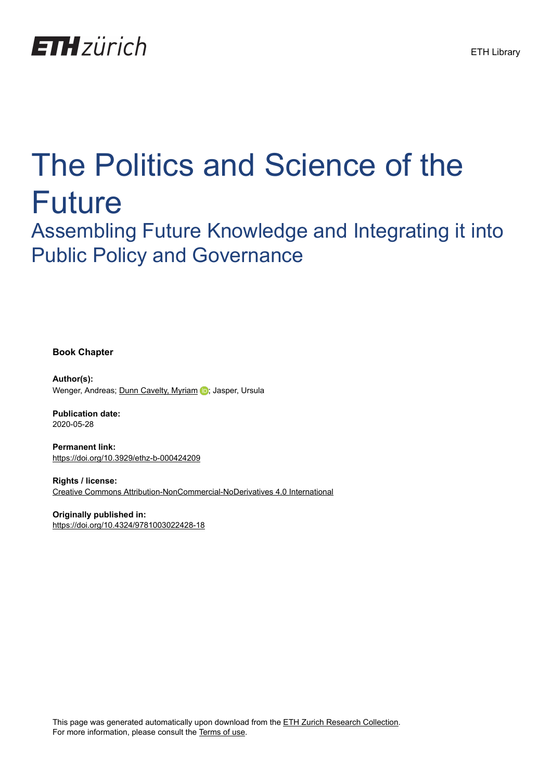

# The Politics and Science of the Future

Assembling Future Knowledge and Integrating it into Public Policy and Governance

**Book Chapter**

**Author(s):** Wenger, Andreas; [Dunn Cavelty, Myriam](https://orcid.org/0000-0002-3775-1284) D; Jasper, Ursula

**Publication date:** 2020-05-28

**Permanent link:** <https://doi.org/10.3929/ethz-b-000424209>

**Rights / license:** [Creative Commons Attribution-NonCommercial-NoDerivatives 4.0 International](http://creativecommons.org/licenses/by-nc-nd/4.0/)

**Originally published in:** <https://doi.org/10.4324/9781003022428-18>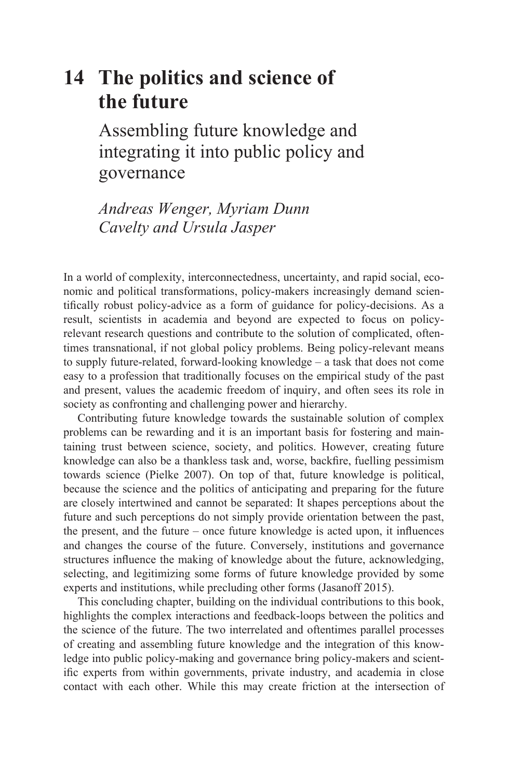# **14 The politics and science of the future**

Assembling future knowledge and [integrating it into public policy and](#page--1-0)  governance

*Andreas Wenger, Myriam Dunn Cavelty and Ursula Jasper*

In a world of complexity, interconnectedness, uncertainty, and rapid social, economic and political transformations, policy-makers increasingly demand scientifically robust policy-advice as a form of guidance for policy-decisions. As a result, scientists in academia and beyond are expected to focus on policyrelevant research questions and contribute to the solution of complicated, oftentimes transnational, if not global policy problems. Being policy-relevant means to supply future-related, forward-looking knowledge – a task that does not come easy to a profession that traditionally focuses on the empirical study of the past and present, values the academic freedom of inquiry, and often sees its role in society as confronting and challenging power and hierarchy.

Contributing future knowledge towards the sustainable solution of complex problems can be rewarding and it is an important basis for fostering and maintaining trust between science, society, and politics. However, creating future knowledge can also be a thankless task and, worse, backfire, fuelling pessimism towards science (Pielke 2007). On top of that, future knowledge is political, because the science and the politics of anticipating and preparing for the future are closely intertwined and cannot be separated: It shapes perceptions about the future and such perceptions do not simply provide orientation between the past, the present, and the future – once future knowledge is acted upon, it influences and changes the course of the future. Conversely, institutions and governance structures influence the making of knowledge about the future, acknowledging, selecting, and legitimizing some forms of future knowledge provided by some experts and institutions, while precluding other forms (Jasanoff 2015).

This concluding chapter, building on the individual contributions to this book, highlights the complex interactions and feedback-loops between the politics and the science of the future. The two interrelated and oftentimes parallel processes of creating and assembling future knowledge and the integration of this knowledge into public policy-making and governance bring policy-makers and scientific experts from within governments, private industry, and academia in close contact with each other. While this may create friction at the intersection of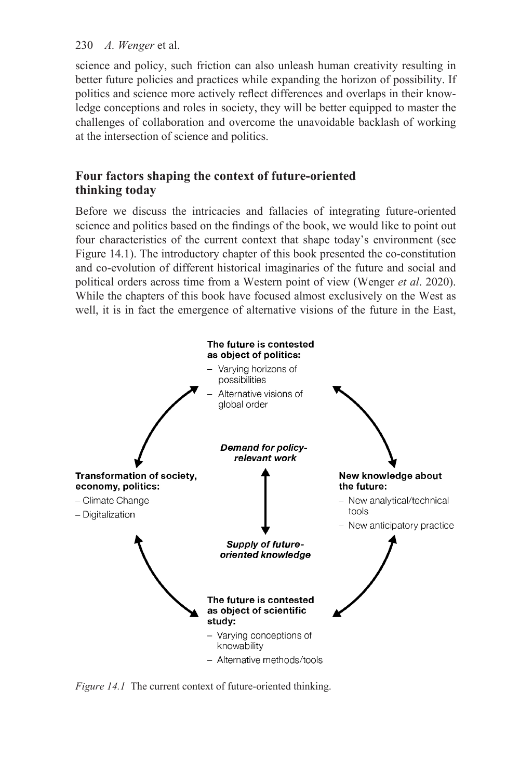science and policy, such friction can also unleash human creativity resulting in better future policies and practices while expanding the horizon of possibility. If politics and science more actively reflect differences and overlaps in their knowledge conceptions and roles in society, they will be better equipped to master the challenges of collaboration and overcome the unavoidable backlash of working at the intersection of science and politics.

# **Four factors shaping the context of future-oriented thinking today**

Before we discuss the intricacies and fallacies of integrating future-oriented science and politics based on the findings of the book, we would like to point out four characteristics of the current context that shape today's environment (see [Figure 14.1\)](#page--1-0). The introductory chapter of this book presented the co-constitution and co-evolution of different historical imaginaries of the future and social and political orders across time from a Western point of view (Wenger *et al*. 2020). While the chapters of this book have focused almost exclusively on the West as well, it is in fact the emergence of alternative visions of the future in the East,



*Figure 14.1* The current context of future-oriented thinking.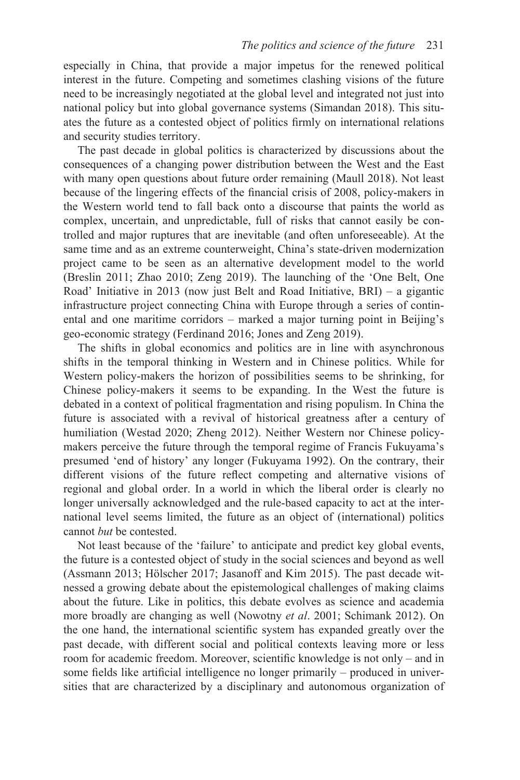especially in China, that provide a major impetus for the renewed political interest in the future. Competing and sometimes clashing visions of the future need to be increasingly negotiated at the global level and integrated not just into national policy but into global governance systems (Simandan 2018). This situates the future as a contested object of politics firmly on international relations and security studies territory.

The past decade in global politics is characterized by discussions about the consequences of a changing power distribution between the West and the East with many open questions about future order remaining (Maull 2018). Not least because of the lingering effects of the financial crisis of 2008, policy-makers in the Western world tend to fall back onto a discourse that paints the world as complex, uncertain, and unpredictable, full of risks that cannot easily be controlled and major ruptures that are inevitable (and often unforeseeable). At the same time and as an extreme counterweight, China's state-driven modernization project came to be seen as an alternative development model to the world (Breslin 2011; Zhao 2010; Zeng 2019). The launching of the 'One Belt, One Road' Initiative in 2013 (now just Belt and Road Initiative, BRI) – a gigantic infrastructure project connecting China with Europe through a series of continental and one maritime corridors – marked a major turning point in Beijing's geo-economic strategy (Ferdinand 2016; Jones and Zeng 2019).

The shifts in global economics and politics are in line with asynchronous shifts in the temporal thinking in Western and in Chinese politics. While for Western policy-makers the horizon of possibilities seems to be shrinking, for Chinese policy-makers it seems to be expanding. In the West the future is debated in a context of political fragmentation and rising populism. In China the future is associated with a revival of historical greatness after a century of humiliation (Westad 2020; Zheng 2012). Neither Western nor Chinese policymakers perceive the future through the temporal regime of Francis Fukuyama's presumed 'end of history' any longer (Fukuyama 1992). On the contrary, their different visions of the future reflect competing and alternative visions of regional and global order. In a world in which the liberal order is clearly no longer universally acknowledged and the rule-based capacity to act at the international level seems limited, the future as an object of (international) politics cannot *but* be contested.

Not least because of the 'failure' to anticipate and predict key global events, the future is a contested object of study in the social sciences and beyond as well (Assmann 2013; Hölscher 2017; Jasanoff and Kim 2015). The past decade witnessed a growing debate about the epistemological challenges of making claims about the future. Like in politics, this debate evolves as science and academia more broadly are changing as well (Nowotny *et al*. 2001; Schimank 2012). On the one hand, the international scientific system has expanded greatly over the past decade, with different social and political contexts leaving more or less room for academic freedom. Moreover, scientific knowledge is not only – and in some fields like artificial intelligence no longer primarily – produced in universities that are characterized by a disciplinary and autonomous organization of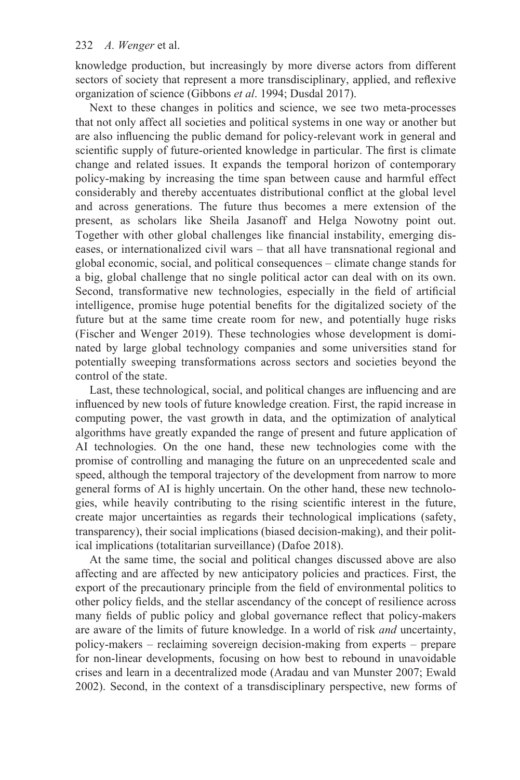knowledge production, but increasingly by more diverse actors from different sectors of society that represent a more transdisciplinary, applied, and reflexive organization of science (Gibbons *et al*. 1994; Dusdal 2017).

Next to these changes in politics and science, we see two meta-processes that not only affect all societies and political systems in one way or another but are also influencing the public demand for policy-relevant work in general and scientific supply of future-oriented knowledge in particular. The first is climate change and related issues. It expands the temporal horizon of contemporary policy-making by increasing the time span between cause and harmful effect considerably and thereby accentuates distributional conflict at the global level and across generations. The future thus becomes a mere extension of the present, as scholars like Sheila Jasanoff and Helga Nowotny point out. Together with other global challenges like financial instability, emerging diseases, or internationalized civil wars – that all have transnational regional and global economic, social, and political consequences – climate change stands for a big, global challenge that no single political actor can deal with on its own. Second, transformative new technologies, especially in the field of artificial intelligence, promise huge potential benefits for the digitalized society of the future but at the same time create room for new, and potentially huge risks (Fischer and Wenger 2019). These technologies whose development is dominated by large global technology companies and some universities stand for potentially sweeping transformations across sectors and societies beyond the control of the state.

Last, these technological, social, and political changes are influencing and are influenced by new tools of future knowledge creation. First, the rapid increase in computing power, the vast growth in data, and the optimization of analytical algorithms have greatly expanded the range of present and future application of AI technologies. On the one hand, these new technologies come with the promise of controlling and managing the future on an unprecedented scale and speed, although the temporal trajectory of the development from narrow to more general forms of AI is highly uncertain. On the other hand, these new technologies, while heavily contributing to the rising scientific interest in the future, create major uncertainties as regards their technological implications (safety, transparency), their social implications (biased decision-making), and their political implications (totalitarian surveillance) (Dafoe 2018).

At the same time, the social and political changes discussed above are also affecting and are affected by new anticipatory policies and practices. First, the export of the precautionary principle from the field of environmental politics to other policy fields, and the stellar ascendancy of the concept of resilience across many fields of public policy and global governance reflect that policy-makers are aware of the limits of future knowledge. In a world of risk *and* uncertainty, policy-makers – reclaiming sovereign decision-making from experts – prepare for non-linear developments, focusing on how best to rebound in unavoidable crises and learn in a decentralized mode (Aradau and van Munster 2007; Ewald 2002). Second, in the context of a transdisciplinary perspective, new forms of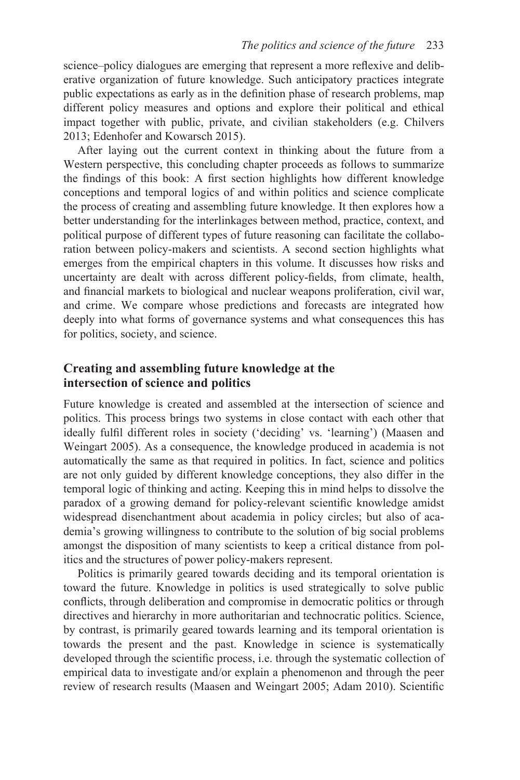science–policy dialogues are emerging that represent a more reflexive and deliberative organization of future knowledge. Such anticipatory practices integrate public expectations as early as in the definition phase of research problems, map different policy measures and options and explore their political and ethical impact together with public, private, and civilian stakeholders (e.g. Chilvers 2013; Edenhofer and Kowarsch 2015).

After laying out the current context in thinking about the future from a Western perspective, this concluding chapter proceeds as follows to summarize the findings of this book: A first section highlights how different knowledge conceptions and temporal logics of and within politics and science complicate the process of creating and assembling future knowledge. It then explores how a better understanding for the interlinkages between method, practice, context, and political purpose of different types of future reasoning can facilitate the collaboration between policy-makers and scientists. A second section highlights what emerges from the empirical chapters in this volume. It discusses how risks and uncertainty are dealt with across different policy-fields, from climate, health, and financial markets to biological and nuclear weapons proliferation, civil war, and crime. We compare whose predictions and forecasts are integrated how deeply into what forms of governance systems and what consequences this has for politics, society, and science.

## **Creating and assembling future knowledge at the intersection of science and politics**

Future knowledge is created and assembled at the intersection of science and politics. This process brings two systems in close contact with each other that ideally fulfil different roles in society ('deciding' vs. 'learning') (Maasen and Weingart 2005). As a consequence, the knowledge produced in academia is not automatically the same as that required in politics. In fact, science and politics are not only guided by different knowledge conceptions, they also differ in the temporal logic of thinking and acting. Keeping this in mind helps to dissolve the paradox of a growing demand for policy-relevant scientific knowledge amidst widespread disenchantment about academia in policy circles; but also of academia's growing willingness to contribute to the solution of big social problems amongst the disposition of many scientists to keep a critical distance from politics and the structures of power policy-makers represent.

Politics is primarily geared towards deciding and its temporal orientation is toward the future. Knowledge in politics is used strategically to solve public conflicts, through deliberation and compromise in democratic politics or through directives and hierarchy in more authoritarian and technocratic politics. Science, by contrast, is primarily geared towards learning and its temporal orientation is towards the present and the past. Knowledge in science is systematically developed through the scientific process, i.e. through the systematic collection of empirical data to investigate and/or explain a phenomenon and through the peer review of research results (Maasen and Weingart 2005; Adam 2010). Scientific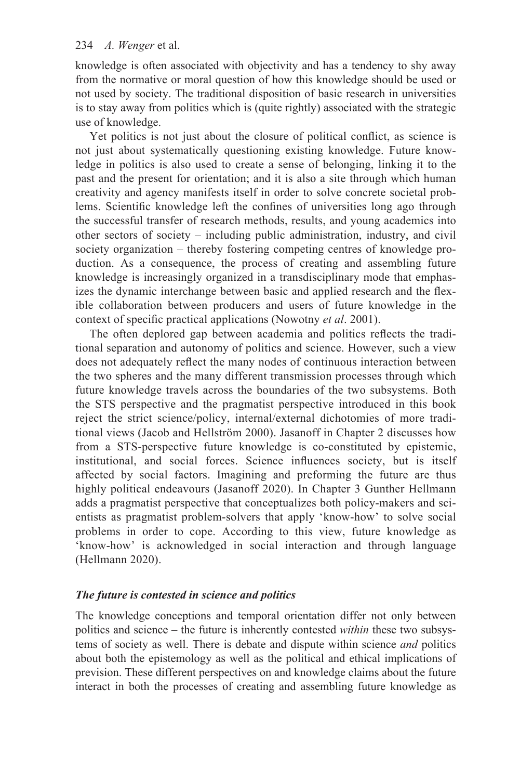knowledge is often associated with objectivity and has a tendency to shy away from the normative or moral question of how this knowledge should be used or not used by society. The traditional disposition of basic research in universities is to stay away from politics which is (quite rightly) associated with the strategic use of knowledge.

Yet politics is not just about the closure of political conflict, as science is not just about systematically questioning existing knowledge. Future knowledge in politics is also used to create a sense of belonging, linking it to the past and the present for orientation; and it is also a site through which human creativity and agency manifests itself in order to solve concrete societal problems. Scientific knowledge left the confines of universities long ago through the successful transfer of research methods, results, and young academics into other sectors of society – including public administration, industry, and civil society organization – thereby fostering competing centres of knowledge production. As a consequence, the process of creating and assembling future knowledge is increasingly organized in a transdisciplinary mode that emphasizes the dynamic interchange between basic and applied research and the flexible collaboration between producers and users of future knowledge in the context of specific practical applications (Nowotny *et al*. 2001).

The often deplored gap between academia and politics reflects the traditional separation and autonomy of politics and science. However, such a view does not adequately reflect the many nodes of continuous interaction between the two spheres and the many different transmission processes through which future knowledge travels across the boundaries of the two subsystems. Both the STS perspective and the pragmatist perspective introduced in this book reject the strict science/policy, internal/external dichotomies of more traditional views (Jacob and Hellström 2000). Jasanoff i[n Chapter 2](#page--1-0) discusses how from a STS-perspective future knowledge is co-constituted by epistemic, institutional, and social forces. Science influences society, but is itself affected by social factors. Imagining and preforming the future are thus highly political endeavours (Jasanoff 2020). In [Chapter 3](#page--1-0) Gunther Hellmann adds a pragmatist perspective that conceptualizes both policy-makers and scientists as pragmatist problem-solvers that apply 'know-how' to solve social problems in order to cope. According to this view, future knowledge as 'know-how' is acknowledged in social interaction and through language (Hellmann 2020).

#### *The future is contested in science and politics*

The knowledge conceptions and temporal orientation differ not only between politics and science – the future is inherently contested *within* these two subsystems of society as well. There is debate and dispute within science *and* politics about both the epistemology as well as the political and ethical implications of prevision. These different perspectives on and knowledge claims about the future interact in both the processes of creating and assembling future knowledge as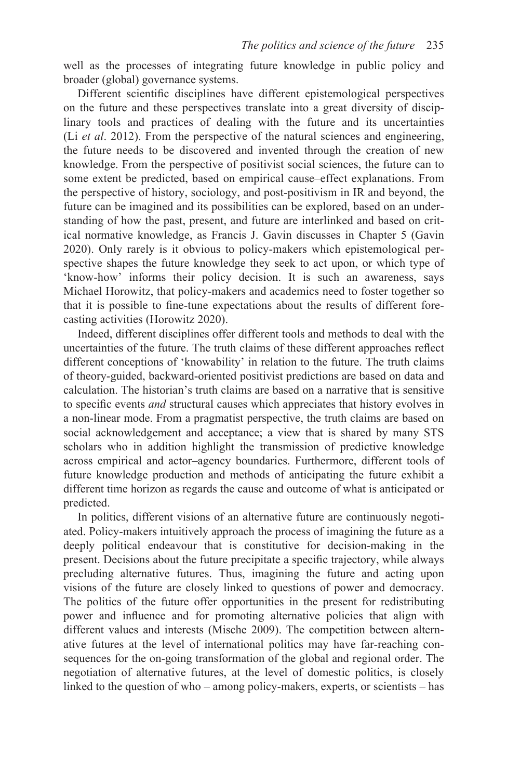well as the processes of integrating future knowledge in public policy and broader (global) governance systems.

Different scientific disciplines have different epistemological perspectives on the future and these perspectives translate into a great diversity of disciplinary tools and practices of dealing with the future and its uncertainties (Li *et al*. 2012). From the perspective of the natural sciences and engineering, the future needs to be discovered and invented through the creation of new knowledge. From the perspective of positivist social sciences, the future can to some extent be predicted, based on empirical cause–effect explanations. From the perspective of history, sociology, and post-positivism in IR and beyond, the future can be imagined and its possibilities can be explored, based on an understanding of how the past, present, and future are interlinked and based on critical normative knowledge, as Francis J. Gavin discusses in [Chapter 5](#page--1-0) (Gavin 2020). Only rarely is it obvious to policy-makers which epistemological perspective shapes the future knowledge they seek to act upon, or which type of 'know-how' informs their policy decision. It is such an awareness, says Michael Horowitz, that policy-makers and academics need to foster together so that it is possible to fine-tune expectations about the results of different forecasting activities (Horowitz 2020).

Indeed, different disciplines offer different tools and methods to deal with the uncertainties of the future. The truth claims of these different approaches reflect different conceptions of 'knowability' in relation to the future. The truth claims of theory-guided, backward-oriented positivist predictions are based on data and calculation. The historian's truth claims are based on a narrative that is sensitive to specific events *and* structural causes which appreciates that history evolves in a non-linear mode. From a pragmatist perspective, the truth claims are based on social acknowledgement and acceptance; a view that is shared by many STS scholars who in addition highlight the transmission of predictive knowledge across empirical and actor–agency boundaries. Furthermore, different tools of future knowledge production and methods of anticipating the future exhibit a different time horizon as regards the cause and outcome of what is anticipated or predicted.

In politics, different visions of an alternative future are continuously negotiated. Policy-makers intuitively approach the process of imagining the future as a deeply political endeavour that is constitutive for decision-making in the present. Decisions about the future precipitate a specific trajectory, while always precluding alternative futures. Thus, imagining the future and acting upon visions of the future are closely linked to questions of power and democracy. The politics of the future offer opportunities in the present for redistributing power and influence and for promoting alternative policies that align with different values and interests (Mische 2009). The competition between alternative futures at the level of international politics may have far-reaching consequences for the on-going transformation of the global and regional order. The negotiation of alternative futures, at the level of domestic politics, is closely linked to the question of who – among policy-makers, experts, or scientists – has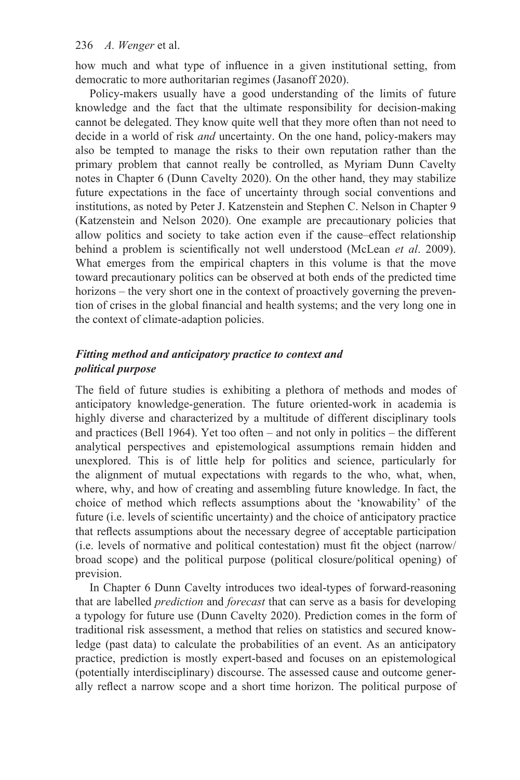how much and what type of influence in a given institutional setting, from democratic to more authoritarian regimes (Jasanoff 2020).

Policy-makers usually have a good understanding of the limits of future knowledge and the fact that the ultimate responsibility for decision-making cannot be delegated. They know quite well that they more often than not need to decide in a world of risk *and* uncertainty. On the one hand, policy-makers may also be tempted to manage the risks to their own reputation rather than the primary problem that cannot really be controlled, as Myriam Dunn Cavelty notes in [Chapter 6](#page--1-0) (Dunn Cavelty 2020). On the other hand, they may stabilize future expectations in the face of uncertainty through social conventions and institutions, as noted by Peter J. Katzenstein and Stephen C. Nelson in [Chapter 9](#page--1-0) (Katzenstein and Nelson 2020). One example are precautionary policies that allow politics and society to take action even if the cause–effect relationship behind a problem is scientifically not well understood (McLean *et al*. 2009). What emerges from the empirical chapters in this volume is that the move toward precautionary politics can be observed at both ends of the predicted time horizons – the very short one in the context of proactively governing the prevention of crises in the global financial and health systems; and the very long one in the context of climate-adaption policies.

# *Fitting method and anticipatory practice to context and political purpose*

The field of future studies is exhibiting a plethora of methods and modes of anticipatory knowledge-generation. The future oriented-work in academia is highly diverse and characterized by a multitude of different disciplinary tools and practices (Bell 1964). Yet too often – and not only in politics – the different analytical perspectives and epistemological assumptions remain hidden and unexplored. This is of little help for politics and science, particularly for the alignment of mutual expectations with regards to the who, what, when, where, why, and how of creating and assembling future knowledge. In fact, the choice of method which reflects assumptions about the 'knowability' of the future (i.e. levels of scientific uncertainty) and the choice of anticipatory practice that reflects assumptions about the necessary degree of acceptable participation (i.e. levels of normative and political contestation) must fit the object (narrow/ broad scope) and the political purpose (political closure/political opening) of prevision.

In [Chapter 6](#page--1-0) Dunn Cavelty introduces two ideal-types of forward-reasoning that are labelled *prediction* and *forecast* that can serve as a basis for developing a typology for future use (Dunn Cavelty 2020). Prediction comes in the form of traditional risk assessment, a method that relies on statistics and secured knowledge (past data) to calculate the probabilities of an event. As an anticipatory practice, prediction is mostly expert-based and focuses on an epistemological (potentially interdisciplinary) discourse. The assessed cause and outcome generally reflect a narrow scope and a short time horizon. The political purpose of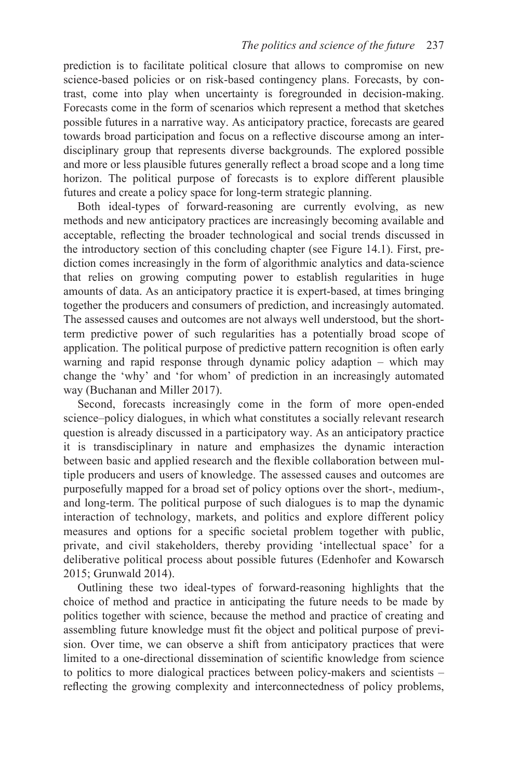prediction is to facilitate political closure that allows to compromise on new science-based policies or on risk-based contingency plans. Forecasts, by contrast, come into play when uncertainty is foregrounded in decision-making. Forecasts come in the form of scenarios which represent a method that sketches possible futures in a narrative way. As anticipatory practice, forecasts are geared towards broad participation and focus on a reflective discourse among an interdisciplinary group that represents diverse backgrounds. The explored possible and more or less plausible futures generally reflect a broad scope and a long time horizon. The political purpose of forecasts is to explore different plausible futures and create a policy space for long-term strategic planning.

Both ideal-types of forward-reasoning are currently evolving, as new methods and new anticipatory practices are increasingly becoming available and acceptable, reflecting the broader technological and social trends discussed in the introductory section of this concluding chapter (see [Figure 14.1\)](#page--1-0). First, prediction comes increasingly in the form of algorithmic analytics and data-science that relies on growing computing power to establish regularities in huge amounts of data. As an anticipatory practice it is expert-based, at times bringing together the producers and consumers of prediction, and increasingly automated. The assessed causes and outcomes are not always well understood, but the shortterm predictive power of such regularities has a potentially broad scope of application. The political purpose of predictive pattern recognition is often early warning and rapid response through dynamic policy adaption – which may change the 'why' and 'for whom' of prediction in an increasingly automated way (Buchanan and Miller 2017).

Second, forecasts increasingly come in the form of more open-ended science–policy dialogues, in which what constitutes a socially relevant research question is already discussed in a participatory way. As an anticipatory practice it is transdisciplinary in nature and emphasizes the dynamic interaction between basic and applied research and the flexible collaboration between multiple producers and users of knowledge. The assessed causes and outcomes are purposefully mapped for a broad set of policy options over the short-, medium-, and long-term. The political purpose of such dialogues is to map the dynamic interaction of technology, markets, and politics and explore different policy measures and options for a specific societal problem together with public, private, and civil stakeholders, thereby providing 'intellectual space' for a deliberative political process about possible futures (Edenhofer and Kowarsch 2015; Grunwald 2014).

Outlining these two ideal-types of forward-reasoning highlights that the choice of method and practice in anticipating the future needs to be made by politics together with science, because the method and practice of creating and assembling future knowledge must fit the object and political purpose of prevision. Over time, we can observe a shift from anticipatory practices that were limited to a one-directional dissemination of scientific knowledge from science to politics to more dialogical practices between policy-makers and scientists – reflecting the growing complexity and interconnectedness of policy problems,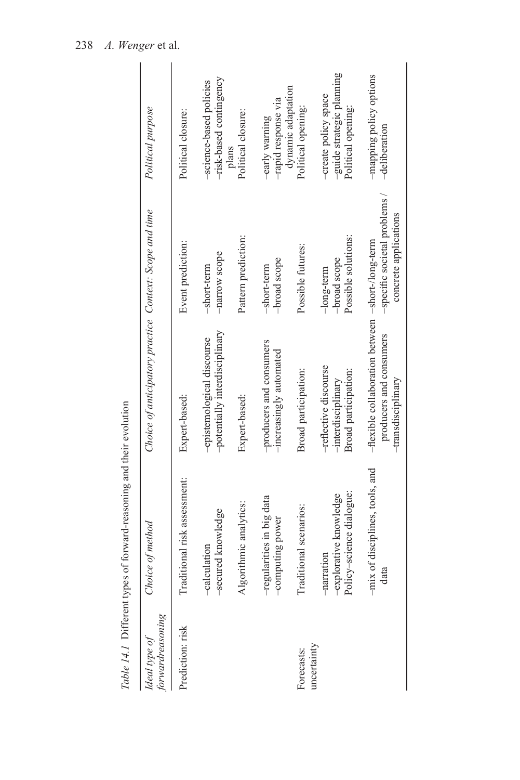|                                   | Table 14.1 Different types of forward-reasoning and their evolution |                                                                                                    |                                                      |                                                                         |
|-----------------------------------|---------------------------------------------------------------------|----------------------------------------------------------------------------------------------------|------------------------------------------------------|-------------------------------------------------------------------------|
| forwardreasoning<br>Ideal type of | Choice of method                                                    | Choice of anticipatory practice Context: Scope and time                                            |                                                      | Political purpose                                                       |
| Prediction: risk                  | Traditional risk assessment:                                        | Expert-based:                                                                                      | Event prediction:                                    | Political closure:                                                      |
|                                   | -secured knowledge<br>-calculation                                  | -potentially interdisciplinary<br>-epistemological discourse                                       | -narrow scope<br>-short-term                         | -risk-based contingency<br>-science-based policies                      |
|                                   | Algorithmic analytics:                                              | Expert-based:                                                                                      | Pattern prediction:                                  | Political closure:<br>plans                                             |
|                                   | -regularities in big data<br>-computing power                       | -producers and consumers<br>-increasingly automated                                                | -broad scope<br>-short-term                          | -rapid response via<br>-early warning                                   |
| Forecasts:                        | Traditional scenarios:                                              | Broad participation:                                                                               | Possible futures:                                    | dynamic adaptation<br>Political opening:                                |
| uncertainty                       | -explorative knowledge<br>Policy-science dialogue:<br>-narration    | -reflective discourse<br>Broad participation:<br>-interdisciplinary                                | Possible solutions:<br>-broad scope<br>$-long-term$  | -guide strategic planning<br>-create policy space<br>Political opening: |
|                                   | -mix of disciplines, tools, and<br>data                             | -flexible collaboration between -short-/long-term<br>producers and consumers<br>-transdisciplinary | -specific societal problems<br>concrete applications | -mapping policy options<br>-deliberation                                |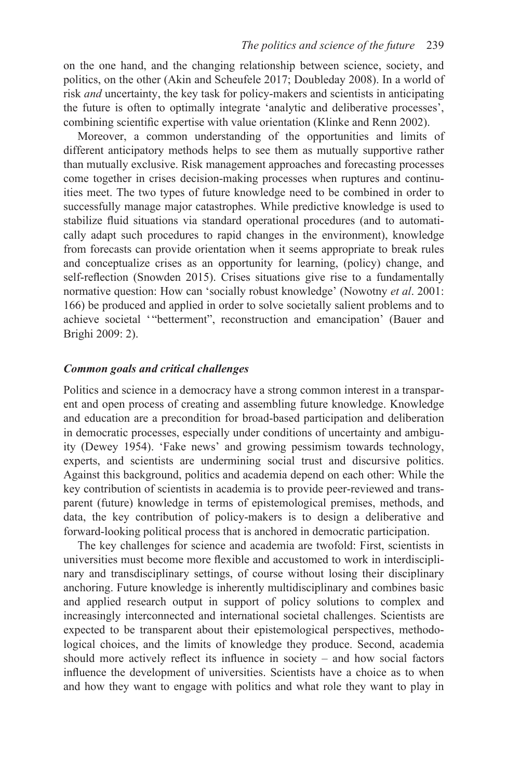on the one hand, and the changing relationship between science, society, and politics, on the other (Akin and Scheufele 2017; Doubleday 2008). In a world of risk *and* uncertainty, the key task for policy-makers and scientists in anticipating the future is often to optimally integrate 'analytic and deliberative processes', combining scientific expertise with value orientation (Klinke and Renn 2002).

Moreover, a common understanding of the opportunities and limits of different anticipatory methods helps to see them as mutually supportive rather than mutually exclusive. Risk management approaches and forecasting processes come together in crises decision-making processes when ruptures and continuities meet. The two types of future knowledge need to be combined in order to successfully manage major catastrophes. While predictive knowledge is used to stabilize fluid situations via standard operational procedures (and to automatically adapt such procedures to rapid changes in the environment), knowledge from forecasts can provide orientation when it seems appropriate to break rules and conceptualize crises as an opportunity for learning, (policy) change, and self-reflection (Snowden 2015). Crises situations give rise to a fundamentally normative question: How can 'socially robust knowledge' (Nowotny *et al*. 2001: 166) be produced and applied in order to solve societally salient problems and to achieve societal '"betterment", reconstruction and emancipation' (Bauer and Brighi 2009: 2).

#### *Common goals and critical challenges*

Politics and science in a democracy have a strong common interest in a transparent and open process of creating and assembling future knowledge. Knowledge and education are a precondition for broad-based participation and deliberation in democratic processes, especially under conditions of uncertainty and ambiguity (Dewey 1954). 'Fake news' and growing pessimism towards technology, experts, and scientists are undermining social trust and discursive politics. Against this background, politics and academia depend on each other: While the key contribution of scientists in academia is to provide peer-reviewed and transparent (future) knowledge in terms of epistemological premises, methods, and data, the key contribution of policy-makers is to design a deliberative and forward-looking political process that is anchored in democratic participation.

The key challenges for science and academia are twofold: First, scientists in universities must become more flexible and accustomed to work in interdisciplinary and transdisciplinary settings, of course without losing their disciplinary anchoring. Future knowledge is inherently multidisciplinary and combines basic and applied research output in support of policy solutions to complex and increasingly interconnected and international societal challenges. Scientists are expected to be transparent about their epistemological perspectives, methodological choices, and the limits of knowledge they produce. Second, academia should more actively reflect its influence in society – and how social factors influence the development of universities. Scientists have a choice as to when and how they want to engage with politics and what role they want to play in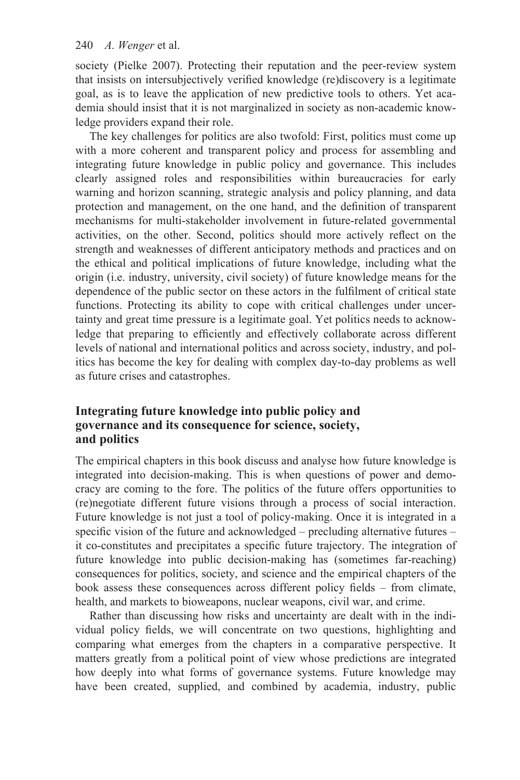society (Pielke 2007). Protecting their reputation and the peer-review system that insists on intersubjectively verified knowledge (re)discovery is a legitimate goal, as is to leave the application of new predictive tools to others. Yet academia should insist that it is not marginalized in society as non-academic knowledge providers expand their role.

The key challenges for politics are also twofold: First, politics must come up with a more coherent and transparent policy and process for assembling and integrating future knowledge in public policy and governance. This includes clearly assigned roles and responsibilities within bureaucracies for early warning and horizon scanning, strategic analysis and policy planning, and data protection and management, on the one hand, and the definition of transparent mechanisms for multi-stakeholder involvement in future-related governmental activities, on the other. Second, politics should more actively reflect on the strength and weaknesses of different anticipatory methods and practices and on the ethical and political implications of future knowledge, including what the origin (i.e. industry, university, civil society) of future knowledge means for the dependence of the public sector on these actors in the fulfilment of critical state functions. Protecting its ability to cope with critical challenges under uncertainty and great time pressure is a legitimate goal. Yet politics needs to acknowledge that preparing to efficiently and effectively collaborate across different levels of national and international politics and across society, industry, and politics has become the key for dealing with complex day-to-day problems as well as future crises and catastrophes.

# **Integrating future knowledge into public policy and governance and its consequence for science, society, and politics**

The empirical chapters in this book discuss and analyse how future knowledge is integrated into decision-making. This is when questions of power and democracy are coming to the fore. The politics of the future offers opportunities to (re)negotiate different future visions through a process of social interaction. Future knowledge is not just a tool of policy-making. Once it is integrated in a specific vision of the future and acknowledged – precluding alternative futures – it co-constitutes and precipitates a specific future trajectory. The integration of future knowledge into public decision-making has (sometimes far-reaching) consequences for politics, society, and science and the empirical chapters of the book assess these consequences across different policy fields – from climate, health, and markets to bioweapons, nuclear weapons, civil war, and crime.

Rather than discussing how risks and uncertainty are dealt with in the individual policy fields, we will concentrate on two questions, highlighting and comparing what emerges from the chapters in a comparative perspective. It matters greatly from a political point of view whose predictions are integrated how deeply into what forms of governance systems. Future knowledge may have been created, supplied, and combined by academia, industry, public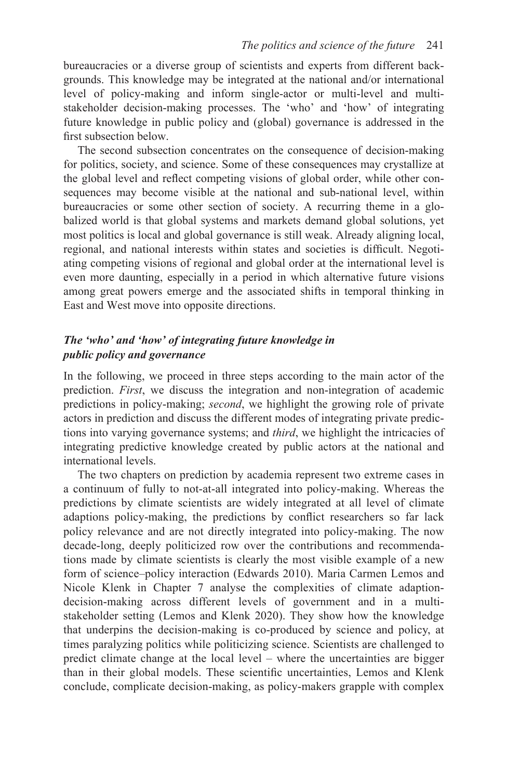bureaucracies or a diverse group of scientists and experts from different backgrounds. This knowledge may be integrated at the national and/or international level of policy-making and inform single-actor or multi-level and multistakeholder decision-making processes. The 'who' and 'how' of integrating future knowledge in public policy and (global) governance is addressed in the first subsection below.

The second subsection concentrates on the consequence of decision-making for politics, society, and science. Some of these consequences may crystallize at the global level and reflect competing visions of global order, while other consequences may become visible at the national and sub-national level, within bureaucracies or some other section of society. A recurring theme in a globalized world is that global systems and markets demand global solutions, yet most politics is local and global governance is still weak. Already aligning local, regional, and national interests within states and societies is difficult. Negotiating competing visions of regional and global order at the international level is even more daunting, especially in a period in which alternative future visions among great powers emerge and the associated shifts in temporal thinking in East and West move into opposite directions.

# *The 'who' and 'how' of integrating future knowledge in public policy and governance*

In the following, we proceed in three steps according to the main actor of the prediction. *First*, we discuss the integration and non-integration of academic predictions in policy-making; *second*, we highlight the growing role of private actors in prediction and discuss the different modes of integrating private predictions into varying governance systems; and *third*, we highlight the intricacies of integrating predictive knowledge created by public actors at the national and international levels.

The two chapters on prediction by academia represent two extreme cases in a continuum of fully to not-at-all integrated into policy-making. Whereas the predictions by climate scientists are widely integrated at all level of climate adaptions policy-making, the predictions by conflict researchers so far lack policy relevance and are not directly integrated into policy-making. The now decade-long, deeply politicized row over the contributions and recommendations made by climate scientists is clearly the most visible example of a new form of science–policy interaction (Edwards 2010). Maria Carmen Lemos and Nicole Klenk in [Chapter 7](#page--1-0) analyse the complexities of climate adaptiondecision-making across different levels of government and in a multistakeholder setting (Lemos and Klenk 2020). They show how the knowledge that underpins the decision-making is co-produced by science and policy, at times paralyzing politics while politicizing science. Scientists are challenged to predict climate change at the local level – where the uncertainties are bigger than in their global models. These scientific uncertainties, Lemos and Klenk conclude, complicate decision-making, as policy-makers grapple with complex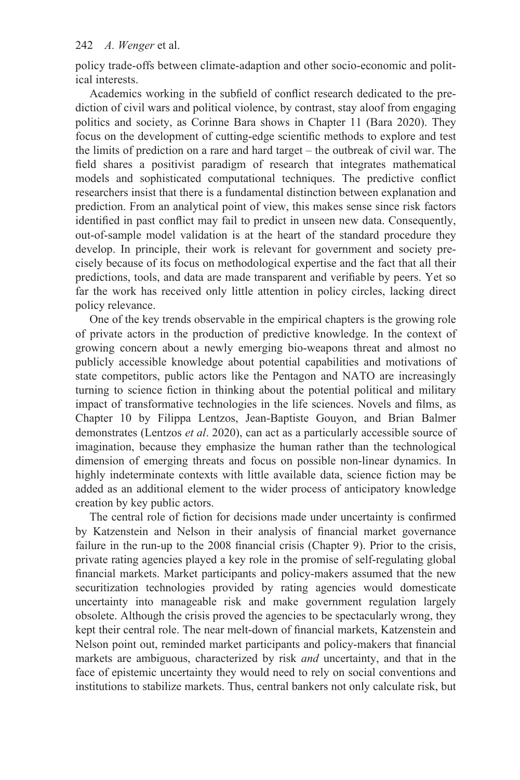policy trade-offs between climate-adaption and other socio-economic and political interests.

Academics working in the subfield of conflict research dedicated to the prediction of civil wars and political violence, by contrast, stay aloof from engaging politics and society, as Corinne Bara shows in [Chapter 11](#page--1-0) (Bara 2020). They focus on the development of cutting-edge scientific methods to explore and test the limits of prediction on a rare and hard target – the outbreak of civil war. The field shares a positivist paradigm of research that integrates mathematical models and sophisticated computational techniques. The predictive conflict researchers insist that there is a fundamental distinction between explanation and prediction. From an analytical point of view, this makes sense since risk factors identified in past conflict may fail to predict in unseen new data. Consequently, out-of-sample model validation is at the heart of the standard procedure they develop. In principle, their work is relevant for government and society precisely because of its focus on methodological expertise and the fact that all their predictions, tools, and data are made transparent and verifiable by peers. Yet so far the work has received only little attention in policy circles, lacking direct policy relevance.

One of the key trends observable in the empirical chapters is the growing role of private actors in the production of predictive knowledge. In the context of growing concern about a newly emerging bio-weapons threat and almost no publicly accessible knowledge about potential capabilities and motivations of state competitors, public actors like the Pentagon and NATO are increasingly turning to science fiction in thinking about the potential political and military impact of transformative technologies in the life sciences. Novels and films, as [Chapter 10](#page--1-0) by Filippa Lentzos, Jean-Baptiste Gouyon, and Brian Balmer demonstrates (Lentzos *et al*. 2020), can act as a particularly accessible source of imagination, because they emphasize the human rather than the technological dimension of emerging threats and focus on possible non-linear dynamics. In highly indeterminate contexts with little available data, science fiction may be added as an additional element to the wider process of anticipatory knowledge creation by key public actors.

The central role of fiction for decisions made under uncertainty is confirmed by Katzenstein and Nelson in their analysis of financial market governance failure in the run-up to the 2008 financial crisis ([Chapter 9\)](#page--1-0). Prior to the crisis, private rating agencies played a key role in the promise of self-regulating global financial markets. Market participants and policy-makers assumed that the new securitization technologies provided by rating agencies would domesticate uncertainty into manageable risk and make government regulation largely obsolete. Although the crisis proved the agencies to be spectacularly wrong, they kept their central role. The near melt-down of financial markets, Katzenstein and Nelson point out, reminded market participants and policy-makers that financial markets are ambiguous, characterized by risk *and* uncertainty, and that in the face of epistemic uncertainty they would need to rely on social conventions and institutions to stabilize markets. Thus, central bankers not only calculate risk, but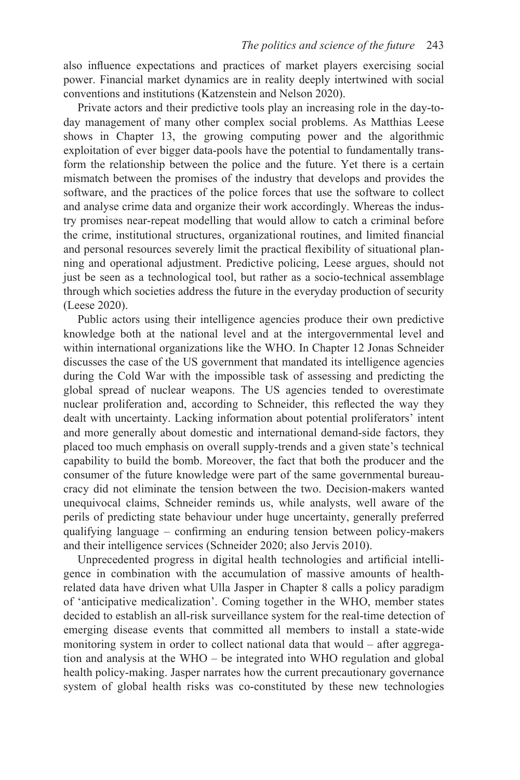also influence expectations and practices of market players exercising social power. Financial market dynamics are in reality deeply intertwined with social conventions and institutions (Katzenstein and Nelson 2020).

Private actors and their predictive tools play an increasing role in the day-today management of many other complex social problems. As Matthias Leese shows in [Chapter 13,](#page--1-0) the growing computing power and the algorithmic exploitation of ever bigger data-pools have the potential to fundamentally transform the relationship between the police and the future. Yet there is a certain mismatch between the promises of the industry that develops and provides the software, and the practices of the police forces that use the software to collect and analyse crime data and organize their work accordingly. Whereas the industry promises near-repeat modelling that would allow to catch a criminal before the crime, institutional structures, organizational routines, and limited financial and personal resources severely limit the practical flexibility of situational planning and operational adjustment. Predictive policing, Leese argues, should not just be seen as a technological tool, but rather as a socio-technical assemblage through which societies address the future in the everyday production of security (Leese 2020).

Public actors using their intelligence agencies produce their own predictive knowledge both at the national level and at the intergovernmental level and within international organizations like the WHO. In [Chapter 12 J](#page--1-0)onas Schneider discusses the case of the US government that mandated its intelligence agencies during the Cold War with the impossible task of assessing and predicting the global spread of nuclear weapons. The US agencies tended to overestimate nuclear proliferation and, according to Schneider, this reflected the way they dealt with uncertainty. Lacking information about potential proliferators' intent and more generally about domestic and international demand-side factors, they placed too much emphasis on overall supply-trends and a given state's technical capability to build the bomb. Moreover, the fact that both the producer and the consumer of the future knowledge were part of the same governmental bureaucracy did not eliminate the tension between the two. Decision-makers wanted unequivocal claims, Schneider reminds us, while analysts, well aware of the perils of predicting state behaviour under huge uncertainty, generally preferred qualifying language – confirming an enduring tension between policy-makers and their intelligence services (Schneider 2020; also Jervis 2010).

Unprecedented progress in digital health technologies and artificial intelligence in combination with the accumulation of massive amounts of healthrelated data have driven what Ulla Jasper in [Chapter 8](#page--1-0) calls a policy paradigm of 'anticipative medicalization'. Coming together in the WHO, member states decided to establish an all-risk surveillance system for the real-time detection of emerging disease events that committed all members to install a state-wide monitoring system in order to collect national data that would – after aggregation and analysis at the WHO – be integrated into WHO regulation and global health policy-making. Jasper narrates how the current precautionary governance system of global health risks was co-constituted by these new technologies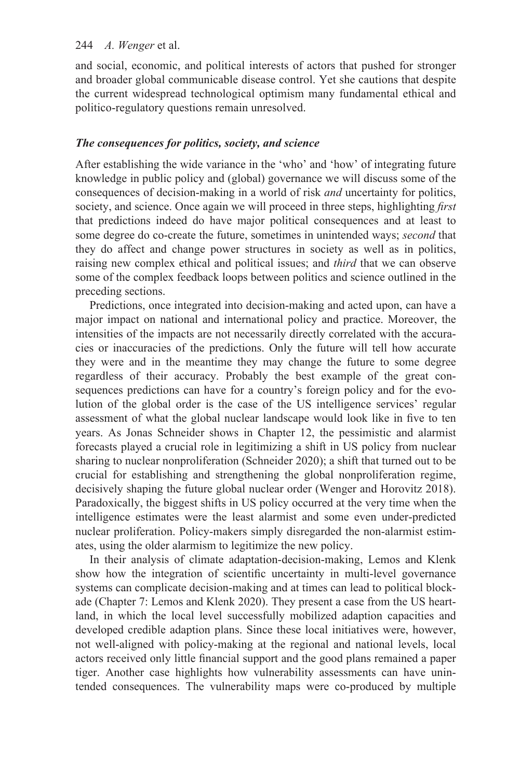and social, economic, and political interests of actors that pushed for stronger and broader global communicable disease control. Yet she cautions that despite the current widespread technological optimism many fundamental ethical and politico-regulatory questions remain unresolved.

#### *The consequences for politics, society, and science*

After establishing the wide variance in the 'who' and 'how' of integrating future knowledge in public policy and (global) governance we will discuss some of the consequences of decision-making in a world of risk *and* uncertainty for politics, society, and science. Once again we will proceed in three steps, highlighting *first*  that predictions indeed do have major political consequences and at least to some degree do co-create the future, sometimes in unintended ways; *second* that they do affect and change power structures in society as well as in politics, raising new complex ethical and political issues; and *third* that we can observe some of the complex feedback loops between politics and science outlined in the preceding sections.

Predictions, once integrated into decision-making and acted upon, can have a major impact on national and international policy and practice. Moreover, the intensities of the impacts are not necessarily directly correlated with the accuracies or inaccuracies of the predictions. Only the future will tell how accurate they were and in the meantime they may change the future to some degree regardless of their accuracy. Probably the best example of the great consequences predictions can have for a country's foreign policy and for the evolution of the global order is the case of the US intelligence services' regular assessment of what the global nuclear landscape would look like in five to ten years. As Jonas Schneider shows in [Chapter 12,](#page--1-0) the pessimistic and alarmist forecasts played a crucial role in legitimizing a shift in US policy from nuclear sharing to nuclear nonproliferation (Schneider 2020); a shift that turned out to be crucial for establishing and strengthening the global nonproliferation regime, decisively shaping the future global nuclear order (Wenger and Horovitz 2018). Paradoxically, the biggest shifts in US policy occurred at the very time when the intelligence estimates were the least alarmist and some even under-predicted nuclear proliferation. Policy-makers simply disregarded the non-alarmist estimates, using the older alarmism to legitimize the new policy.

In their analysis of climate adaptation-decision-making, Lemos and Klenk show how the integration of scientific uncertainty in multi-level governance systems can complicate decision-making and at times can lead to political blockade [\(Chapter 7:](#page--1-0) Lemos and Klenk 2020). They present a case from the US heartland, in which the local level successfully mobilized adaption capacities and developed credible adaption plans. Since these local initiatives were, however, not well-aligned with policy-making at the regional and national levels, local actors received only little financial support and the good plans remained a paper tiger. Another case highlights how vulnerability assessments can have unintended consequences. The vulnerability maps were co-produced by multiple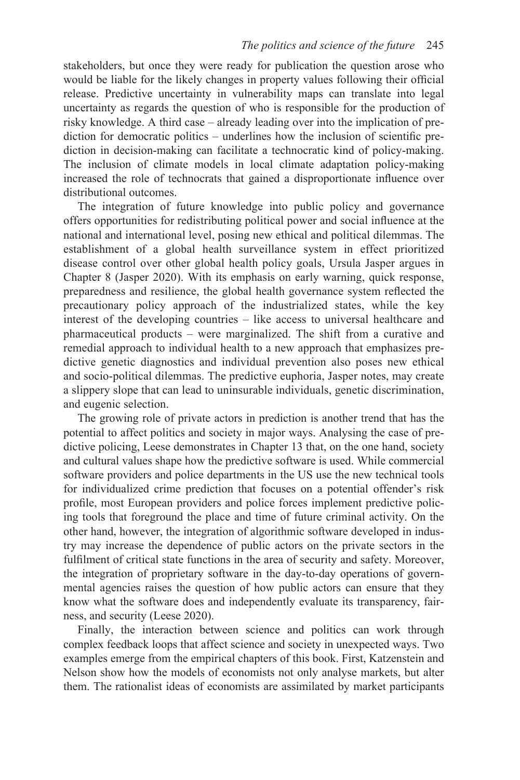stakeholders, but once they were ready for publication the question arose who would be liable for the likely changes in property values following their official release. Predictive uncertainty in vulnerability maps can translate into legal uncertainty as regards the question of who is responsible for the production of risky knowledge. A third case – already leading over into the implication of prediction for democratic politics – underlines how the inclusion of scientific prediction in decision-making can facilitate a technocratic kind of policy-making. The inclusion of climate models in local climate adaptation policy-making increased the role of technocrats that gained a disproportionate influence over distributional outcomes.

The integration of future knowledge into public policy and governance offers opportunities for redistributing political power and social influence at the national and international level, posing new ethical and political dilemmas. The establishment of a global health surveillance system in effect prioritized disease control over other global health policy goals, Ursula Jasper argues in [Chapter 8](#page--1-0) (Jasper 2020). With its emphasis on early warning, quick response, preparedness and resilience, the global health governance system reflected the precautionary policy approach of the industrialized states, while the key interest of the developing countries – like access to universal healthcare and pharmaceutical products – were marginalized. The shift from a curative and remedial approach to individual health to a new approach that emphasizes predictive genetic diagnostics and individual prevention also poses new ethical and socio-political dilemmas. The predictive euphoria, Jasper notes, may create a slippery slope that can lead to uninsurable individuals, genetic discrimination, and eugenic selection.

The growing role of private actors in prediction is another trend that has the potential to affect politics and society in major ways. Analysing the case of predictive policing, Leese demonstrates in [Chapter 13](#page--1-0) that, on the one hand, society and cultural values shape how the predictive software is used. While commercial software providers and police departments in the US use the new technical tools for individualized crime prediction that focuses on a potential offender's risk profile, most European providers and police forces implement predictive policing tools that foreground the place and time of future criminal activity. On the other hand, however, the integration of algorithmic software developed in industry may increase the dependence of public actors on the private sectors in the fulfilment of critical state functions in the area of security and safety. Moreover, the integration of proprietary software in the day-to-day operations of governmental agencies raises the question of how public actors can ensure that they know what the software does and independently evaluate its transparency, fairness, and security (Leese 2020).

Finally, the interaction between science and politics can work through complex feedback loops that affect science and society in unexpected ways. Two examples emerge from the empirical chapters of this book. First, Katzenstein and Nelson show how the models of economists not only analyse markets, but alter them. The rationalist ideas of economists are assimilated by market participants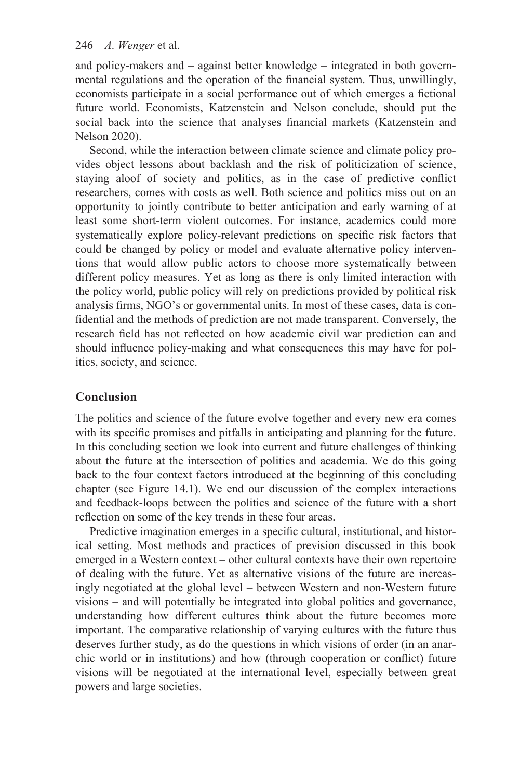and policy-makers and – against better knowledge – integrated in both governmental regulations and the operation of the financial system. Thus, unwillingly, economists participate in a social performance out of which emerges a fictional future world. Economists, Katzenstein and Nelson conclude, should put the social back into the science that analyses financial markets (Katzenstein and Nelson 2020).

Second, while the interaction between climate science and climate policy provides object lessons about backlash and the risk of politicization of science, staying aloof of society and politics, as in the case of predictive conflict researchers, comes with costs as well. Both science and politics miss out on an opportunity to jointly contribute to better anticipation and early warning of at least some short-term violent outcomes. For instance, academics could more systematically explore policy-relevant predictions on specific risk factors that could be changed by policy or model and evaluate alternative policy interventions that would allow public actors to choose more systematically between different policy measures. Yet as long as there is only limited interaction with the policy world, public policy will rely on predictions provided by political risk analysis firms, NGO's or governmental units. In most of these cases, data is confidential and the methods of prediction are not made transparent. Conversely, the research field has not reflected on how academic civil war prediction can and should influence policy-making and what consequences this may have for politics, society, and science.

# **Conclusion**

The politics and science of the future evolve together and every new era comes with its specific promises and pitfalls in anticipating and planning for the future. In this concluding section we look into current and future challenges of thinking about the future at the intersection of politics and academia. We do this going back to the four context factors introduced at the beginning of this concluding chapter (see [Figure 14.1\)](#page--1-0). We end our discussion of the complex interactions and feedback-loops between the politics and science of the future with a short reflection on some of the key trends in these four areas.

Predictive imagination emerges in a specific cultural, institutional, and historical setting. Most methods and practices of prevision discussed in this book emerged in a Western context – other cultural contexts have their own repertoire of dealing with the future. Yet as alternative visions of the future are increasingly negotiated at the global level – between Western and non-Western future visions – and will potentially be integrated into global politics and governance, understanding how different cultures think about the future becomes more important. The comparative relationship of varying cultures with the future thus deserves further study, as do the questions in which visions of order (in an anarchic world or in institutions) and how (through cooperation or conflict) future visions will be negotiated at the international level, especially between great powers and large societies.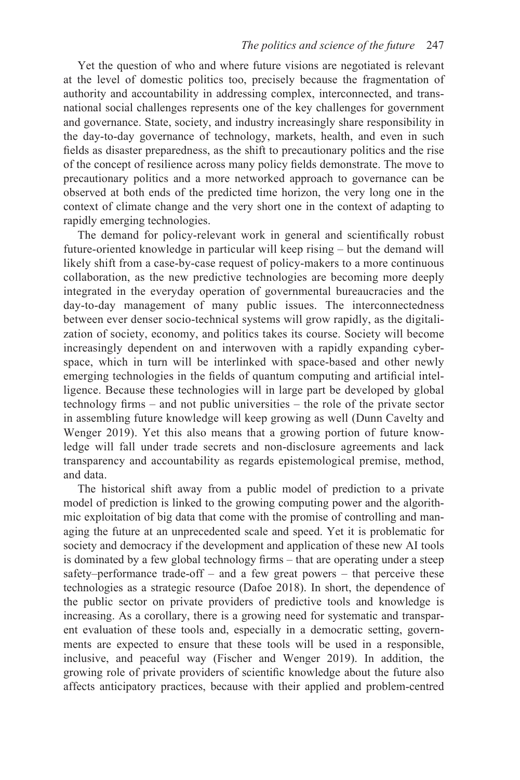Yet the question of who and where future visions are negotiated is relevant at the level of domestic politics too, precisely because the fragmentation of authority and accountability in addressing complex, interconnected, and transnational social challenges represents one of the key challenges for government and governance. State, society, and industry increasingly share responsibility in the day-to-day governance of technology, markets, health, and even in such fields as disaster preparedness, as the shift to precautionary politics and the rise of the concept of resilience across many policy fields demonstrate. The move to precautionary politics and a more networked approach to governance can be observed at both ends of the predicted time horizon, the very long one in the context of climate change and the very short one in the context of adapting to rapidly emerging technologies.

The demand for policy-relevant work in general and scientifically robust future-oriented knowledge in particular will keep rising – but the demand will likely shift from a case-by-case request of policy-makers to a more continuous collaboration, as the new predictive technologies are becoming more deeply integrated in the everyday operation of governmental bureaucracies and the day-to-day management of many public issues. The interconnectedness between ever denser socio-technical systems will grow rapidly, as the digitalization of society, economy, and politics takes its course. Society will become increasingly dependent on and interwoven with a rapidly expanding cyberspace, which in turn will be interlinked with space-based and other newly emerging technologies in the fields of quantum computing and artificial intelligence. Because these technologies will in large part be developed by global technology firms – and not public universities – the role of the private sector in assembling future knowledge will keep growing as well (Dunn Cavelty and Wenger 2019). Yet this also means that a growing portion of future knowledge will fall under trade secrets and non-disclosure agreements and lack transparency and accountability as regards epistemological premise, method, and data.

The historical shift away from a public model of prediction to a private model of prediction is linked to the growing computing power and the algorithmic exploitation of big data that come with the promise of controlling and managing the future at an unprecedented scale and speed. Yet it is problematic for society and democracy if the development and application of these new AI tools is dominated by a few global technology firms – that are operating under a steep safety–performance trade-off – and a few great powers – that perceive these technologies as a strategic resource (Dafoe 2018). In short, the dependence of the public sector on private providers of predictive tools and knowledge is increasing. As a corollary, there is a growing need for systematic and transparent evaluation of these tools and, especially in a democratic setting, governments are expected to ensure that these tools will be used in a responsible, inclusive, and peaceful way (Fischer and Wenger 2019). In addition, the growing role of private providers of scientific knowledge about the future also affects anticipatory practices, because with their applied and problem-centred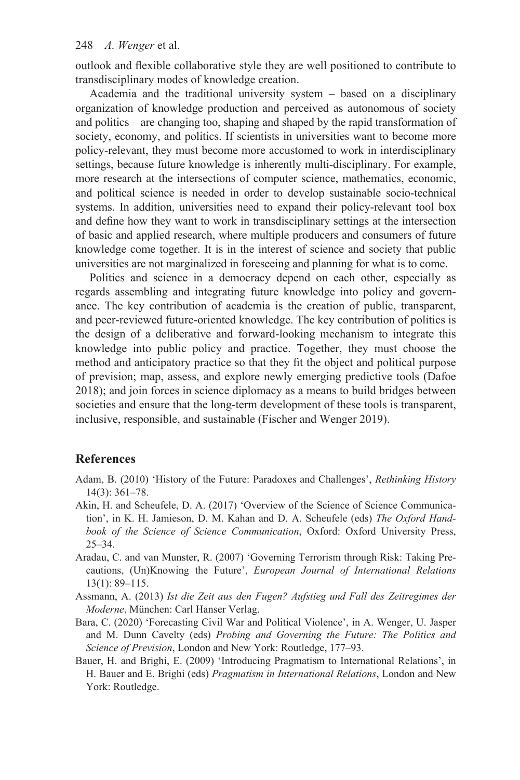outlook and flexible collaborative style they are well positioned to contribute to transdisciplinary modes of knowledge creation.

Academia and the traditional university system – based on a disciplinary organization of knowledge production and perceived as autonomous of society and politics – are changing too, shaping and shaped by the rapid transformation of society, economy, and politics. If scientists in universities want to become more policy-relevant, they must become more accustomed to work in interdisciplinary settings, because future knowledge is inherently multi-disciplinary. For example, more research at the intersections of computer science, mathematics, economic, and political science is needed in order to develop sustainable socio-technical systems. In addition, universities need to expand their policy-relevant tool box and define how they want to work in transdisciplinary settings at the intersection of basic and applied research, where multiple producers and consumers of future knowledge come together. It is in the interest of science and society that public universities are not marginalized in foreseeing and planning for what is to come.

Politics and science in a democracy depend on each other, especially as regards assembling and integrating future knowledge into policy and governance. The key contribution of academia is the creation of public, transparent, and peer-reviewed future-oriented knowledge. The key contribution of politics is the design of a deliberative and forward-looking mechanism to integrate this knowledge into public policy and practice. Together, they must choose the method and anticipatory practice so that they fit the object and political purpose of prevision; map, assess, and explore newly emerging predictive tools (Dafoe 2018); and join forces in science diplomacy as a means to build bridges between societies and ensure that the long-term development of these tools is transparent, inclusive, responsible, and sustainable (Fischer and Wenger 2019).

#### **References**

- Adam, B. (2010) 'History of the Future: Paradoxes and Challenges', *Rethinking History*  14(3): 361–78.
- Akin, H. and Scheufele, D. A. (2017) 'Overview of the Science of Science Communication', in K. H. Jamieson, D. M. Kahan and D. A. Scheufele (eds) *The Oxford Handbook of the Science of Science Communication*, Oxford: Oxford University Press, 25–34.
- Aradau, C. and van Munster, R. (2007) 'Governing Terrorism through Risk: Taking Precautions, (Un)Knowing the Future', *European Journal of International Relations*  13(1): 89–115.
- Assmann, A. (2013) *Ist die Zeit aus den Fugen? Aufstieg und Fall des Zeitregimes der Moderne*, München: Carl Hanser Verlag.
- Bara, C. (2020) 'Forecasting Civil War and Political Violence', in A. Wenger, U. Jasper and M. Dunn Cavelty (eds) *Probing and Governing the Future: The Politics and Science of Prevision*, London and New York: Routledge, 177–93.
- Bauer, H. and Brighi, E. (2009) 'Introducing Pragmatism to International Relations', in H. Bauer and E. Brighi (eds) *Pragmatism in International Relations*, London and New York: Routledge.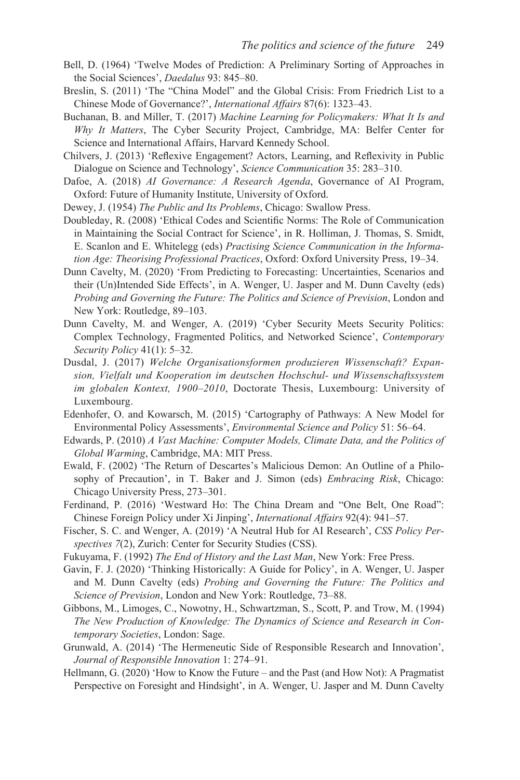- Bell, D. (1964) 'Twelve Modes of Prediction: A Preliminary Sorting of Approaches in the Social Sciences', *Daedalus* 93: 845–80.
- Breslin, S. (2011) 'The "China Model" and the Global Crisis: From Friedrich List to a Chinese Mode of Governance?', *International Affairs* 87(6): 1323–43.
- Buchanan, B. and Miller, T. (2017) *Machine Learning for Policymakers: What It Is and Why It Matters*, The Cyber Security Project, Cambridge, MA: Belfer Center for Science and International Affairs, Harvard Kennedy School.
- Chilvers, J. (2013) 'Reflexive Engagement? Actors, Learning, and Reflexivity in Public Dialogue on Science and Technology', *Science Communication* 35: 283–310.
- Dafoe, A. (2018) *AI Governance: A Research Agenda*, Governance of AI Program, Oxford: Future of Humanity Institute, University of Oxford.
- Dewey, J. (1954) *The Public and Its Problems*, Chicago: Swallow Press.
- Doubleday, R. (2008) 'Ethical Codes and Scientific Norms: The Role of Communication in Maintaining the Social Contract for Science', in R. Holliman, J. Thomas, S. Smidt, E. Scanlon and E. Whitelegg (eds) *Practising Science Communication in the Information Age: Theorising Professional Practices*, Oxford: Oxford University Press, 19–34.
- Dunn Cavelty, M. (2020) 'From Predicting to Forecasting: Uncertainties, Scenarios and their (Un)Intended Side Effects', in A. Wenger, U. Jasper and M. Dunn Cavelty (eds) *Probing and Governing the Future: The Politics and Science of Prevision*, London and New York: Routledge, 89–103.
- Dunn Cavelty, M. and Wenger, A. (2019) 'Cyber Security Meets Security Politics: Complex Technology, Fragmented Politics, and Networked Science', *Contemporary Security Policy* 41(1): 5–32.
- Dusdal, J. (2017) *Welche Organisationsformen produzieren Wissenschaft? Expansion, Vielfalt und Kooperation im deutschen Hochschul- und Wissenschaftssystem im globalen Kontext, 1900–2010*, Doctorate Thesis, Luxembourg: University of Luxembourg.
- Edenhofer, O. and Kowarsch, M. (2015) 'Cartography of Pathways: A New Model for Environmental Policy Assessments', *Environmental Science and Policy* 51: 56–64.
- Edwards, P. (2010) *A Vast Machine: Computer Models, Climate Data, and the Politics of Global Warming*, Cambridge, MA: MIT Press.
- Ewald, F. (2002) 'The Return of Descartes's Malicious Demon: An Outline of a Philosophy of Precaution', in T. Baker and J. Simon (eds) *Embracing Risk*, Chicago: Chicago University Press, 273–301.
- Ferdinand, P. (2016) 'Westward Ho: The China Dream and "One Belt, One Road": Chinese Foreign Policy under Xi Jinping', *International Affairs* 92(4): 941–57.
- Fischer, S. C. and Wenger, A. (2019) 'A Neutral Hub for AI Research', *CSS Policy Perspectives 7*(2), Zurich: Center for Security Studies (CSS).
- Fukuyama, F. (1992) *The End of History and the Last Man*, New York: Free Press.
- Gavin, F. J. (2020) 'Thinking Historically: A Guide for Policy', in A. Wenger, U. Jasper and M. Dunn Cavelty (eds) *Probing and Governing the Future: The Politics and Science of Prevision*, London and New York: Routledge, 73–88.
- Gibbons, M., Limoges, C., Nowotny, H., Schwartzman, S., Scott, P. and Trow, M. (1994) *The New Production of Knowledge: The Dynamics of Science and Research in Contemporary Societies*, London: Sage.
- Grunwald, A. (2014) 'The Hermeneutic Side of Responsible Research and Innovation', *Journal of Responsible Innovation* 1: 274–91.
- Hellmann, G. (2020) 'How to Know the Future and the Past (and How Not): A Pragmatist Perspective on Foresight and Hindsight', in A. Wenger, U. Jasper and M. Dunn Cavelty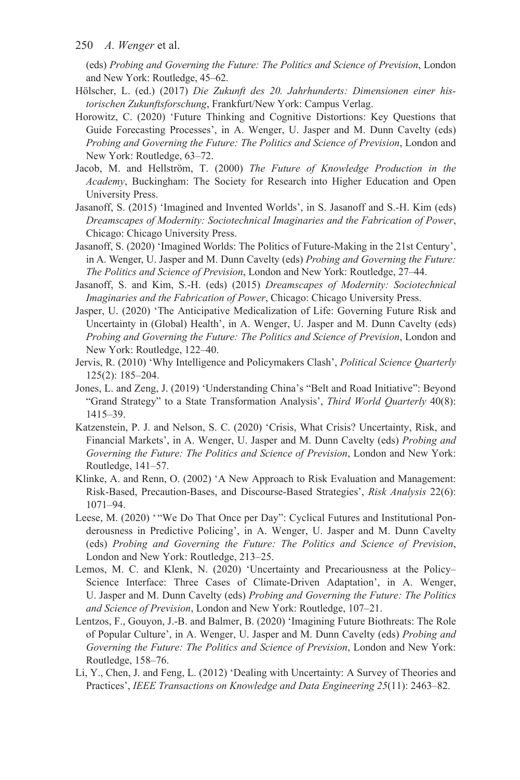(eds) *Probing and Governing the Future: The Politics and Science of Prevision*, London and New York: Routledge, 45–62.

- Hölscher, L. (ed.) (2017) *Die Zukunft des 20. Jahrhunderts: Dimensionen einer historischen Zukunftsforschung*, Frankfurt/New York: Campus Verlag.
- Horowitz, C. (2020) 'Future Thinking and Cognitive Distortions: Key Questions that Guide Forecasting Processes', in A. Wenger, U. Jasper and M. Dunn Cavelty (eds) *Probing and Governing the Future: The Politics and Science of Prevision*, London and New York: Routledge, 63–72.
- Jacob, M. and Hellström, T. (2000) *The Future of Knowledge Production in the Academy*, Buckingham: The Society for Research into Higher Education and Open University Press.
- Jasanoff, S. (2015) 'Imagined and Invented Worlds', in S. Jasanoff and S.-H. Kim (eds) *Dreamscapes of Modernity: Sociotechnical Imaginaries and the Fabrication of Power*, Chicago: Chicago University Press.
- Jasanoff, S. (2020) 'Imagined Worlds: The Politics of Future-Making in the 21st Century', in A. Wenger, U. Jasper and M. Dunn Cavelty (eds) *Probing and Governing the Future: The Politics and Science of Prevision*, London and New York: Routledge, 27–44.
- Jasanoff, S. and Kim, S.-H. (eds) (2015) *Dreamscapes of Modernity: Sociotechnical Imaginaries and the Fabrication of Power*, Chicago: Chicago University Press.
- Jasper, U. (2020) 'The Anticipative Medicalization of Life: Governing Future Risk and Uncertainty in (Global) Health', in A. Wenger, U. Jasper and M. Dunn Cavelty (eds) *Probing and Governing the Future: The Politics and Science of Prevision*, London and New York: Routledge, 122–40.
- Jervis, R. (2010) 'Why Intelligence and Policymakers Clash', *Political Science Quarterly*  125(2): 185–204.
- Jones, L. and Zeng, J. (2019) 'Understanding China's "Belt and Road Initiative": Beyond "Grand Strategy" to a State Transformation Analysis', *Third World Quarterly* 40(8): 1415–39.
- Katzenstein, P. J. and Nelson, S. C. (2020) 'Crisis, What Crisis? Uncertainty, Risk, and Financial Markets', in A. Wenger, U. Jasper and M. Dunn Cavelty (eds) *Probing and Governing the Future: The Politics and Science of Prevision*, London and New York: Routledge, 141–57.
- Klinke, A. and Renn, O. (2002) 'A New Approach to Risk Evaluation and Management: Risk-Based, Precaution-Bases, and Discourse-Based Strategies', *Risk Analysis* 22(6): 1071–94.
- Leese, M. (2020) "We Do That Once per Day": Cyclical Futures and Institutional Ponderousness in Predictive Policing', in A. Wenger, U. Jasper and M. Dunn Cavelty (eds) *Probing and Governing the Future: The Politics and Science of Prevision*, London and New York: Routledge, 213–25.
- Lemos, M. C. and Klenk, N. (2020) 'Uncertainty and Precariousness at the Policy– Science Interface: Three Cases of Climate-Driven Adaptation', in A. Wenger, U. Jasper and M. Dunn Cavelty (eds) *Probing and Governing the Future: The Politics and Science of Prevision*, London and New York: Routledge, 107–21.
- Lentzos, F., Gouyon, J.-B. and Balmer, B. (2020) 'Imagining Future Biothreats: The Role of Popular Culture', in A. Wenger, U. Jasper and M. Dunn Cavelty (eds) *Probing and Governing the Future: The Politics and Science of Prevision*, London and New York: Routledge, 158–76.
- Li, Y., Chen, J. and Feng, L. (2012) 'Dealing with Uncertainty: A Survey of Theories and Practices', *IEEE Transactions on Knowledge and Data Engineering 25*(11): 2463–82.